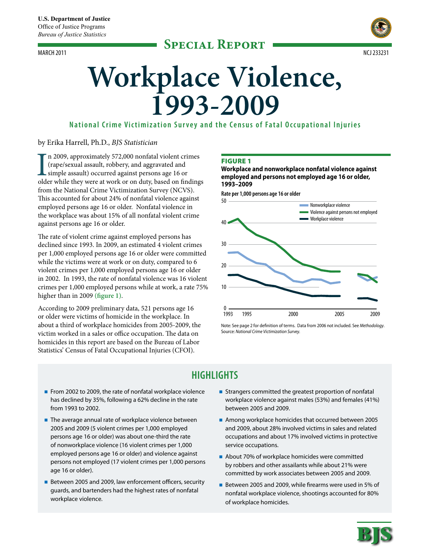

# **Workplace Violence, 1993-2009**

**National Crime Victimization S urvey and the Census of Fatal Occupational Injuries**

# by Erika Harrell, Ph.D., *BJS Statistician*

I<br>olde n 2009, approximately 572,000 nonfatal violent crimes (rape/sexual assault, robbery, and aggravated and simple assault) occurred against persons age 16 or older while they were at work or on duty, based on findings from the National Crime Victimization Survey (NCVS). This accounted for about 24% of nonfatal violence against employed persons age 16 or older. Nonfatal violence in the workplace was about 15% of all nonfatal violent crime against persons age 16 or older.

The rate of violent crime against employed persons has declined since 1993. In 2009, an estimated 4 violent crimes per 1,000 employed persons age 16 or older were committed while the victims were at work or on duty, compared to 6 violent crimes per 1,000 employed persons age 16 or older in 2002. In 1993, the rate of nonfatal violence was 16 violent crimes per 1,000 employed persons while at work, a rate 75% higher than in 2009 **(figure 1)**.

According to 2009 preliminary data, 521 persons age 16 or older were victims of homicide in the workplace. In about a third of workplace homicides from 2005-2009, the victim worked in a sales or office occupation. The data on homicides in this report are based on the Bureau of Labor Statistics' Census of Fatal Occupational Injuries (CFOI).

# **FIGURE 1**

**Workplace and nonworkplace nonfatal violence against employed and persons not employed age 16 or older, 1993–2009**

**Rate per 1,000 persons age 16 or older**



Note: See page 2 for definition of terms. Data from 2006 not included. See *Methodology*. Source: *National Crime Victimization Survey.*

# **Highlights**

- From 2002 to 2009, the rate of nonfatal workplace violence has declined by 35%, following a 62% decline in the rate from 1993 to 2002.
- $\blacksquare$  The average annual rate of workplace violence between 2005 and 2009 (5 violent crimes per 1,000 employed persons age 16 or older) was about one-third the rate of nonworkplace violence (16 violent crimes per 1,000 employed persons age 16 or older) and violence against persons not employed (17 violent crimes per 1,000 persons age 16 or older).
- Between 2005 and 2009, law enforcement officers, security guards, and bartenders had the highest rates of nonfatal workplace violence.
- Strangers committed the greatest proportion of nonfatal workplace violence against males (53%) and females (41%) between 2005 and 2009.
- Among workplace homicides that occurred between 2005 and 2009, about 28% involved victims in sales and related occupations and about 17% involved victims in protective service occupations.
- About 70% of workplace homicides were committed by robbers and other assailants while about 21% were committed by work associates between 2005 and 2009.
- Between 2005 and 2009, while firearms were used in 5% of nonfatal workplace violence, shootings accounted for 80% of workplace homicides.

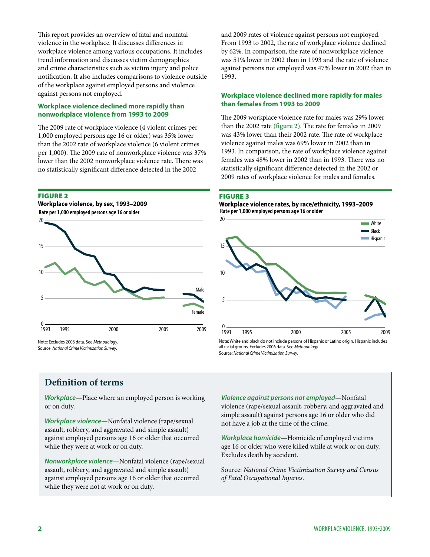This report provides an overview of fatal and nonfatal violence in the workplace. It discusses differences in workplace violence among various occupations. It includes trend information and discusses victim demographics and crime characteristics such as victim injury and police notification. It also includes comparisons to violence outside of the workplace against employed persons and violence against persons not employed.

# **Workplace violence declined more rapidly than nonworkplace violence from 1993 to 2009**

The 2009 rate of workplace violence (4 violent crimes per 1,000 employed persons age 16 or older) was 35% lower than the 2002 rate of workplace violence (6 violent crimes per 1,000). The 2009 rate of nonworkplace violence was 37% lower than the 2002 nonworkplace violence rate. There was no statistically significant difference detected in the 2002

#### Figure 2





and 2009 rates of violence against persons not employed. From 1993 to 2002, the rate of workplace violence declined by 62%. In comparison, the rate of nonworkplace violence was 51% lower in 2002 than in 1993 and the rate of violence against persons not employed was 47% lower in 2002 than in 1993.

# **Workplace violence declined more rapidly for males than females from 1993 to 2009**

The 2009 workplace violence rate for males was 29% lower than the 2002 rate **(figure 2)**. The rate for females in 2009 was 43% lower than their 2002 rate. The rate of workplace violence against males was 69% lower in 2002 than in 1993. In comparison, the rate of workplace violence against females was 48% lower in 2002 than in 1993. There was no statistically significant difference detected in the 2002 or 2009 rates of workplace violence for males and females.

#### Figure 3

#### **Rate per 1,000 employed persons age 16 or older Workplace violence rates, by race/ethnicity, 1993–2009**



Note: White and black do not include persons of Hispanic or Latino origin. Hispanic includes all racial groups. Excludes 2006 data. See *Methodology.* Source: *National Crime Victimization Survey*.

# **Definition of terms**

*Workplace*—Place where an employed person is working or on duty.

*Workplace violence*—Nonfatal violence (rape/sexual assault, robbery, and aggravated and simple assault) against employed persons age 16 or older that occurred while they were at work or on duty.

*Nonworkplace violence*—Nonfatal violence (rape/sexual assault, robbery, and aggravated and simple assault) against employed persons age 16 or older that occurred while they were not at work or on duty.

*Violence against persons not employed*—Nonfatal violence (rape/sexual assault, robbery, and aggravated and simple assault) against persons age 16 or older who did not have a job at the time of the crime.

*Workplace homicide*—Homicide of employed victims age 16 or older who were killed while at work or on duty. Excludes death by accident.

Source: *National Crime Victimization Survey and Census of Fatal Occupational Injuries*.

**2** workplace violence, 1993-2009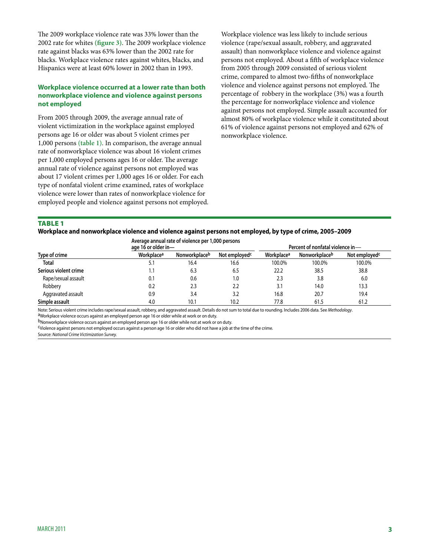The 2009 workplace violence rate was 33% lower than the 2002 rate for whites **(figure 3)**. The 2009 workplace violence rate against blacks was 63% lower than the 2002 rate for blacks. Workplace violence rates against whites, blacks, and Hispanics were at least 60% lower in 2002 than in 1993.

# **Workplace violence occurred at a lower rate than both nonworkplace violence and violence against persons not employed**

From 2005 through 2009, the average annual rate of violent victimization in the workplace against employed persons age 16 or older was about 5 violent crimes per 1,000 persons **(table 1)**. In comparison, the average annual rate of nonworkplace violence was about 16 violent crimes per 1,000 employed persons ages 16 or older. The average annual rate of violence against persons not employed was about 17 violent crimes per 1,000 ages 16 or older. For each type of nonfatal violent crime examined, rates of workplace violence were lower than rates of nonworkplace violence for employed people and violence against persons not employed. Workplace violence was less likely to include serious violence (rape/sexual assault, robbery, and aggravated assault) than nonworkplace violence and violence against persons not employed. About a fifth of workplace violence from 2005 through 2009 consisted of serious violent crime, compared to almost two-fifths of nonworkplace violence and violence against persons not employed. The percentage of robbery in the workplace (3%) was a fourth the percentage for nonworkplace violence and violence against persons not employed. Simple assault accounted for almost 80% of workplace violence while it constituted about 61% of violence against persons not employed and 62% of nonworkplace violence.

#### **TABLE 1**

#### **Workplace and nonworkplace violence and violence against persons not employed, by type of crime, 2005–2009**

|                       | Average annual rate of violence per 1,000 persons<br>age 16 or older in- |               |                           | Percent of nonfatal violence in- |               |                           |
|-----------------------|--------------------------------------------------------------------------|---------------|---------------------------|----------------------------------|---------------|---------------------------|
| Type of crime         | Workplace <sup>a</sup>                                                   | Nonworkplaceb | Not employed <sup>c</sup> | Workplace <sup>a</sup>           | Nonworkplaceb | Not employed <sup>c</sup> |
| Total                 | 5.1                                                                      | 16.4          | 16.6                      | 100.0%                           | 100.0%        | 100.0%                    |
| Serious violent crime | 1.1                                                                      | 6.3           | 6.5                       | 22.2                             | 38.5          | 38.8                      |
| Rape/sexual assault   | 0.1                                                                      | 0.6           | 1.0                       | 2.3                              | 3.8           | 6.0                       |
| Robbery               | 0.2                                                                      | 2.3           | 2.2                       | 3.1                              | 14.0          | 13.3                      |
| Aggravated assault    | 0.9                                                                      | 3.4           | 3.2                       | 16.8                             | 20.7          | 19.4                      |
| Simple assault        | 4.0                                                                      | 10.7          | 10.2                      | 77.8                             | 61.5          | 61.2                      |

Note: Serious violent crime includes rape/sexual assault, robbery, and aggravated assault. Details do not sum to total due to rounding. Includes 2006 data. See Methodology.<br><sup>a</sup>Workplace violence occurs against an employed

bNonworkplace violence occurs against an employed person age 16 or older while not at work or on duty.

cViolence against persons not employed occurs against a person age 16 or older who did not have a job at the time of the crime.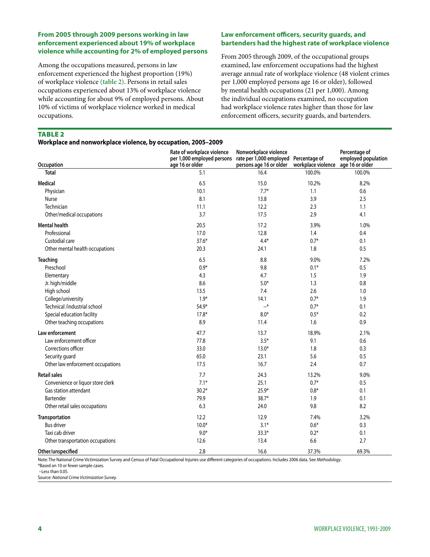# **From 2005 through 2009 persons working in law enforcement experienced about 19% of workplace violence while accounting for 2% of employed persons**

Among the occupations measured, persons in law enforcement experienced the highest proportion (19%) of workplace violence **(table 2)**. Persons in retail sales occupations experienced about 13% of workplace violence while accounting for about 9% of employed persons. About 10% of victims of workplace violence worked in medical occupations.

# **Law enforcement officers, security guards, and bartenders had the highest rate of workplace violence**

From 2005 through 2009, of the occupational groups examined, law enforcement occupations had the highest average annual rate of workplace violence (48 violent crimes per 1,000 employed persons age 16 or older), followed by mental health occupations (21 per 1,000). Among the individual occupations examined, no occupation had workplace violence rates higher than those for law enforcement officers, security guards, and bartenders.

#### **TABLE 2**

#### **Workplace and nonworkplace violence, by occupation, 2005–2009**

| Occupation                        | Rate of workplace violence<br>per 1,000 employed persons<br>age 16 or older | Nonworkplace violence<br>rate per 1,000 employed Percentage of<br>persons age 16 or older | workplace violence | Percentage of<br>employed population<br>age 16 or older |
|-----------------------------------|-----------------------------------------------------------------------------|-------------------------------------------------------------------------------------------|--------------------|---------------------------------------------------------|
| <b>Total</b>                      | 5.1                                                                         | 16.4                                                                                      | 100.0%             | 100.0%                                                  |
| Medical                           | 6.5                                                                         | 15.0                                                                                      | 10.2%              | 8.2%                                                    |
| Physician                         | 10.1                                                                        | $7.7*$                                                                                    | 1.1                | 0.6                                                     |
| Nurse                             | 8.1                                                                         | 13.8                                                                                      | 3.9                | 2.5                                                     |
| Technician                        | 11.1                                                                        | 12.2                                                                                      | 2.3                | 1.1                                                     |
| Other/medical occupations         | 3.7                                                                         | 17.5                                                                                      | 2.9                | 4.1                                                     |
| <b>Mental health</b>              | 20.5                                                                        | 17.2                                                                                      | 3.9%               | 1.0%                                                    |
| Professional                      | 17.0                                                                        | 12.8                                                                                      | 1.4                | 0.4                                                     |
| Custodial care                    | $37.6*$                                                                     | $4.4*$                                                                                    | $0.7*$             | 0.1                                                     |
| Other mental health occupations   | 20.3                                                                        | 24.1                                                                                      | 1.8                | 0.5                                                     |
| Teaching                          | 6.5                                                                         | 8.8                                                                                       | 9.0%               | 7.2%                                                    |
| Preschool                         | $0.9*$                                                                      | 9.8                                                                                       | $0.1*$             | 0.5                                                     |
| Elementary                        | 4.3                                                                         | 4.7                                                                                       | 1.5                | 1.9                                                     |
| Jr. high/middle                   | 8.6                                                                         | $5.0*$                                                                                    | 1.3                | 0.8                                                     |
| High school                       | 13.5                                                                        | 7.4                                                                                       | 2.6                | 1.0                                                     |
| College/university                | $1.9*$                                                                      | 14.1                                                                                      | $0.7*$             | 1.9                                                     |
| Technical /industrial school      | 54.9*                                                                       | $-$ *                                                                                     | $0.7*$             | 0.1                                                     |
| Special education facility        | $17.8*$                                                                     | $8.0*$                                                                                    | $0.5*$             | 0.2                                                     |
| Other teaching occupations        | 8.9                                                                         | 11.4                                                                                      | 1.6                | 0.9                                                     |
| Law enforcement                   | 47.7                                                                        | 13.7                                                                                      | 18.9%              | 2.1%                                                    |
| Law enforcement officer           | 77.8                                                                        | $3.5*$                                                                                    | 9.1                | 0.6                                                     |
| Corrections officer               | 33.0                                                                        | $13.0*$                                                                                   | 1.8                | 0.3                                                     |
| Security guard                    | 65.0                                                                        | 23.1                                                                                      | 5.6                | 0.5                                                     |
| Other law enforcement occupations | 17.5                                                                        | 16.7                                                                                      | 2.4                | 0.7                                                     |
| <b>Retail sales</b>               | 7.7                                                                         | 24.3                                                                                      | 13.2%              | 9.0%                                                    |
| Convenience or liquor store clerk | $7.1*$                                                                      | 25.1                                                                                      | $0.7*$             | 0.5                                                     |
| Gas station attendant             | $30.2*$                                                                     | 25.9*                                                                                     | $0.8*$             | 0.1                                                     |
| Bartender                         | 79.9                                                                        | 38.7*                                                                                     | 1.9                | 0.1                                                     |
| Other retail sales occupations    | 6.3                                                                         | 24.0                                                                                      | 9.8                | 8.2                                                     |
| Transportation                    | 12.2                                                                        | 12.9                                                                                      | 7.4%               | 3.2%                                                    |
| <b>Bus driver</b>                 | $10.0*$                                                                     | $3.1*$                                                                                    | $0.6*$             | 0.3                                                     |
| Taxi cab driver                   | $9.0*$                                                                      | $33.3*$                                                                                   | $0.2*$             | 0.1                                                     |
| Other transportation occupations  | 12.6                                                                        | 13.4                                                                                      | 6.6                | 2.7                                                     |
| Other/unspecified                 | 2.8                                                                         | 16.6                                                                                      | 37.3%              | 69.3%                                                   |

Note: The National Crime Victimization Survey and Census of Fatal Occupational Injuries use different categories of occupations. Includes 2006 data. See *Methodology*.

\*Based on 10 or fewer sample cases.

--Less than 0.05.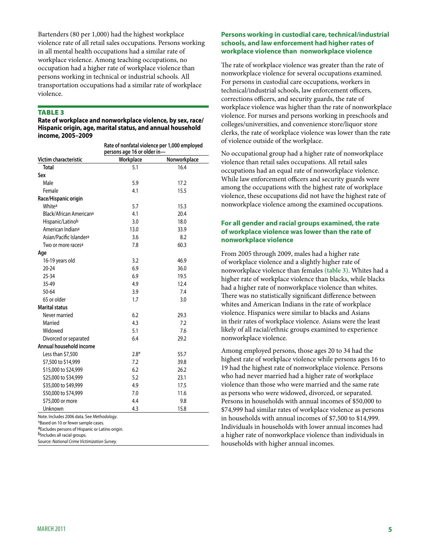Bartenders (80 per 1,000) had the highest workplace violence rate of all retail sales occupations. Persons working in all mental health occupations had a similar rate of workplace violence. Among teaching occupations, no occupation had a higher rate of workplace violence than persons working in technical or industrial schools. All transportation occupations had a similar rate of workplace violence.

# **TABLE 3**

**Rate of workplace and nonworkplace violence, by sex, race/ Hispanic origin, age, marital status, and annual household income, 2005–2009**

|                                                                                                                                     | Rate of nonfatal violence per 1,000 employed<br>persons age 16 or older in- |              |  |  |
|-------------------------------------------------------------------------------------------------------------------------------------|-----------------------------------------------------------------------------|--------------|--|--|
| Victim characteristic                                                                                                               | Workplace                                                                   | Nonworkplace |  |  |
| <b>Total</b>                                                                                                                        | 5.1                                                                         | 16.4         |  |  |
| Sex                                                                                                                                 |                                                                             |              |  |  |
| Male                                                                                                                                | 5.9                                                                         | 17.2         |  |  |
| Female                                                                                                                              | 4.1                                                                         | 15.5         |  |  |
| Race/Hispanic origin                                                                                                                |                                                                             |              |  |  |
| Whitea                                                                                                                              | 5.7                                                                         | 15.3         |  |  |
| Black/African Americana                                                                                                             | 4.1                                                                         | 20.4         |  |  |
| Hispanic/Latinob                                                                                                                    | 3.0                                                                         | 18.0         |  |  |
| American Indian <sup>a</sup>                                                                                                        | 13.0                                                                        | 33.9         |  |  |
| Asian/Pacific Islander <sup>a</sup>                                                                                                 | 3.6                                                                         | 8.2          |  |  |
| Two or more races <sup>a</sup>                                                                                                      | 7.8                                                                         | 60.3         |  |  |
| Age                                                                                                                                 |                                                                             |              |  |  |
| 16-19 years old                                                                                                                     | 3.2                                                                         | 46.9         |  |  |
| $20 - 24$                                                                                                                           | 6.9                                                                         | 36.0         |  |  |
| $25 - 34$                                                                                                                           | 6.9                                                                         | 19.5         |  |  |
| 35-49                                                                                                                               | 4.9                                                                         | 12.4         |  |  |
| $50 - 64$                                                                                                                           | 3.9                                                                         | 7.4          |  |  |
| 65 or older                                                                                                                         | 1.7                                                                         | 3.0          |  |  |
| <b>Marital status</b>                                                                                                               |                                                                             |              |  |  |
| Never married                                                                                                                       | 6.2                                                                         | 29.3         |  |  |
| Married                                                                                                                             | 4.3                                                                         | 7.2          |  |  |
| Widowed                                                                                                                             | 5.1                                                                         | 7.6          |  |  |
| Divorced or separated                                                                                                               | 6.4                                                                         | 29.2         |  |  |
| Annual household income                                                                                                             |                                                                             |              |  |  |
| Less than \$7,500                                                                                                                   | $2.8*$                                                                      | 55.7         |  |  |
| \$7,500 to \$14,999                                                                                                                 | 7.2                                                                         | 39.8         |  |  |
| \$15,000 to \$24,999                                                                                                                | 6.2                                                                         | 26.2         |  |  |
| \$25,000 to \$34,999                                                                                                                | 5.2                                                                         | 23.1         |  |  |
| \$35,000 to \$49,999                                                                                                                | 4.9                                                                         | 17.5         |  |  |
| \$50,000 to \$74,999                                                                                                                | 7.0                                                                         | 11.6         |  |  |
| \$75,000 or more                                                                                                                    | 4.4                                                                         | 9.8          |  |  |
| Unknown                                                                                                                             | 4.3                                                                         | 15.8         |  |  |
| Note. Includes 2006 data. See Methodology.<br>*Based on 10 or fewer sample cases.<br>dExcludes persons of Hispanic or Latino origin |                                                                             |              |  |  |

aExcludes persons of Hispanic or Latino origin.

b<sub>Includes all racial groups.</sub>

Source: *National Crime Victimization Survey.*

# **Persons working in custodial care, technical/industrial schools, and law enforcement had higher rates of workplace violence than nonworkplace violence**

The rate of workplace violence was greater than the rate of nonworkplace violence for several occupations examined. For persons in custodial care occupations, workers in technical/industrial schools, law enforcement officers, corrections officers, and security guards, the rate of workplace violence was higher than the rate of nonworkplace violence. For nurses and persons working in preschools and colleges/universities, and convenience store/liquor store clerks, the rate of workplace violence was lower than the rate of violence outside of the workplace.

No occupational group had a higher rate of nonworkplace violence than retail sales occupations. All retail sales occupations had an equal rate of nonworkplace violence. While law enforcement officers and security guards were among the occupations with the highest rate of workplace violence, these occupations did not have the highest rate of nonworkplace violence among the examined occupations.

# **For all gender and racial groups examined, the rate of workplace violence was lower than the rate of nonworkplace violence**

From 2005 through 2009, males had a higher rate of workplace violence and a slightly higher rate of nonworkplace violence than females **(table 3)**. Whites had a higher rate of workplace violence than blacks, while blacks had a higher rate of nonworkplace violence than whites. There was no statistically significant difference between whites and American Indians in the rate of workplace violence. Hispanics were similar to blacks and Asians in their rates of workplace violence. Asians were the least likely of all racial/ethnic groups examined to experience nonworkplace violence.

Among employed persons, those ages 20 to 34 had the highest rate of workplace violence while persons ages 16 to 19 had the highest rate of nonworkplace violence. Persons who had never married had a higher rate of workplace violence than those who were married and the same rate as persons who were widowed, divorced, or separated. Persons in households with annual incomes of \$50,000 to \$74,999 had similar rates of workplace violence as persons in households with annual incomes of \$7,500 to \$14,999. Individuals in households with lower annual incomes had a higher rate of nonworkplace violence than individuals in households with higher annual incomes.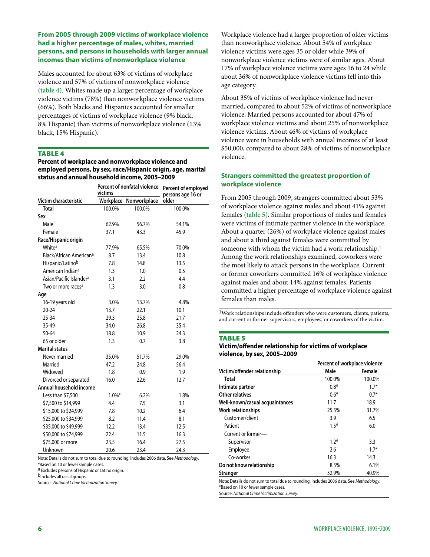# **From 2005 through 2009 victims of workplace violence had a higher percentage of males, whites, married persons, and persons in households with larger annual incomes than victims of nonworkplace violence**

Males accounted for about 63% of victims of workplace violence and 57% of victims of nonworkplace violence **(table 4)**. Whites made up a larger percentage of workplace violence victims (78%) than nonworkplace violence victims (66%). Both blacks and Hispanics accounted for smaller percentages of victims of workplace violence (9% black, 8% Hispanic) than victims of nonworkplace violence (13% black, 15% Hispanic).

#### **TABLE 4**

**Percent of workplace and nonworkplace violence and employed persons, by sex, race/Hispanic origin, age, marital status and annual household income, 2005–2009**

|                                     | Percent of nonfatal violence<br>victims |                        | Percent of employed<br>persons age 16 or |  |
|-------------------------------------|-----------------------------------------|------------------------|------------------------------------------|--|
| Victim characteristic               |                                         | Workplace Nonworkplace | older                                    |  |
| <b>Total</b>                        | 100.0%                                  | 100.0%                 | 100.0%                                   |  |
| Sex                                 |                                         |                        |                                          |  |
| Male                                | 62.9%                                   | 56.7%                  | 54.1%                                    |  |
| Female                              | 37.1                                    | 43.3                   | 45.9                                     |  |
| Race/Hispanic origin                |                                         |                        |                                          |  |
| Whitea                              | 77.9%                                   | 65.5%                  | 70.0%                                    |  |
| Black/African American <sup>a</sup> | 8.7                                     | 13.4                   | 10.8                                     |  |
| Hispanic/Latinob                    | 7.8                                     | 14.8                   | 13.5                                     |  |
| American Indiana                    | 1.3                                     | 1.0                    | 0.5                                      |  |
| Asian/Pacific Islander <sup>a</sup> | 3.1                                     | 2.2                    | 4.4                                      |  |
| Two or more races <sup>a</sup>      | 1.3                                     | 3.0                    | 0.8                                      |  |
| Age                                 |                                         |                        |                                          |  |
| 16-19 years old                     | 3.0%                                    | 13.7%                  | 4.8%                                     |  |
| $20 - 24$                           | 13.7                                    | 22.1                   | 10.1                                     |  |
| $25 - 34$                           | 29.3                                    | 25.8                   | 21.7                                     |  |
| 35-49                               | 34.0                                    | 26.8                   | 35.4                                     |  |
| $50 - 64$                           | 18.8                                    | 10.9                   | 24.3                                     |  |
| 65 or older                         | 1.3                                     | 0.7                    | 3.8                                      |  |
| <b>Marital status</b>               |                                         |                        |                                          |  |
| Never married                       | 35.0%                                   | 51.7%                  | 29.0%                                    |  |
| Married                             | 47.2                                    | 24.8                   | 56.4                                     |  |
| Widowed                             | 1.8                                     | 0.9                    | 1.9                                      |  |
| Divorced or separated               | 16.0                                    | 22.6                   | 12.7                                     |  |
| Annual household income             |                                         |                        |                                          |  |
| Less than \$7,500                   | $1.0\%$ *                               | 6.2%                   | 1.8%                                     |  |
| \$7,500 to \$14,999                 | 4.4                                     | 7.5                    | 3.1                                      |  |
| \$15,000 to \$24,999                | 7.8                                     | 10.2                   | 6.4                                      |  |
| \$25,000 to \$34,999                | 8.2                                     | 11.4                   | 8.1                                      |  |
| \$35,000 to \$49,999                | 12.2                                    | 13.4                   | 12.5                                     |  |
| \$50,000 to \$74,999                | 22.4                                    | 11.5                   | 16.3                                     |  |
| \$75,000 or more                    | 23.5                                    | 16.4                   | 27.5                                     |  |
| Unknown                             | 20.6                                    | 23.4                   | 24.3                                     |  |

Note: Details do not sum to total due to rounding. Includes 2006 data. See *Methodology*. \*Based on 10 or fewer sample cases.

a Excludes persons of Hispanic or Latino origin.

b<sub>Includes all racial groups.</sub>

Source: *National Crime Victimization Survey.*

Workplace violence had a larger proportion of older victims than nonworkplace violence. About 54% of workplace violence victims were ages 35 or older while 39% of nonworkplace violence victims were of similar ages. About 17% of workplace violence victims were ages 16 to 24 while about 36% of nonworkplace violence victims fell into this age category.

About 35% of victims of workplace violence had never married, compared to about 52% of victims of nonworkplace violence. Married persons accounted for about 47% of workplace violence victims and about 25% of nonworkplace violence victims. About 46% of victims of workplace violence were in households with annual incomes of at least \$50,000, compared to about 28% of victims of nonworkplace violence.

# **Strangers committed the greatest proportion of workplace violence**

From 2005 through 2009, strangers committed about 53% of workplace violence against males and about 41% against females **(table 5)**. Similar proportions of males and females were victims of intimate partner violence in the workplace. About a quarter (26%) of workplace violence against males and about a third against females were committed by someone with whom the victim had a work relationship.1 Among the work relationships examined, coworkers were the most likely to attack persons in the workplace. Current or former coworkers committed 16% of workplace violence against males and about 14% against females. Patients committed a higher percentage of workplace violence against females than males.

1Work relationships include offenders who were customers, clients, patients, and current or former supervisors, employees, or coworkers of the victim.

#### **TABLE 5**

#### **Victim/offender relationship for victims of workplace violence, by sex, 2005–2009**

|                                 |        | Percent of workplace violence |  |  |
|---------------------------------|--------|-------------------------------|--|--|
| Victim/offender relationship    | Male   | Female                        |  |  |
| Total                           | 100.0% | 100.0%                        |  |  |
| Intimate partner                | $0.8*$ | $1.7*$                        |  |  |
| Other relatives                 | $0.6*$ | $0.7*$                        |  |  |
| Well-known/casual acquaintances | 11.7   | 18.9                          |  |  |
| Work relationships              | 25.5%  | 31.7%                         |  |  |
| Customer/client                 | 3.9    | 6.5                           |  |  |
| Patient                         | $1.5*$ | 6.0                           |  |  |
| Current or former-              |        |                               |  |  |
| Supervisor                      | $1.2*$ | 3.3                           |  |  |
| Employee                        | 2.6    | $1.7*$                        |  |  |
| Co-worker                       | 16.3   | 14.3                          |  |  |
| Do not know relationship        | 8.5%   | 6.1%                          |  |  |
| Stranger                        | 52.9%  | 40.9%                         |  |  |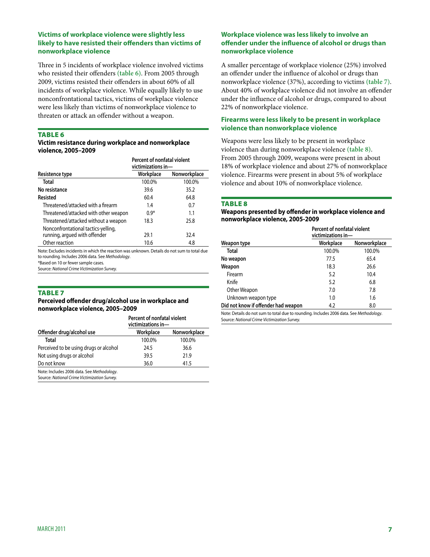# **Victims of workplace violence were slightly less likely to have resisted their offenders than victims of nonworkplace violence**

Three in 5 incidents of workplace violence involved victims who resisted their offenders **(table 6)**. From 2005 through 2009, victims resisted their offenders in about 60% of all incidents of workplace violence. While equally likely to use nonconfrontational tactics, victims of workplace violence were less likely than victims of nonworkplace violence to threaten or attack an offender without a weapon.

#### **TABLE 6**

#### **Victim resistance during workplace and nonworkplace violence, 2005–2009**

|                                       | Percent of nonfatal violent<br>victimizations in- |              |  |
|---------------------------------------|---------------------------------------------------|--------------|--|
| Resistence type                       | Workplace                                         | Nonworkplace |  |
| Total                                 | 100.0%                                            | 100.0%       |  |
| No resistance                         | 39.6                                              | 35.2         |  |
| Resisted                              | 60.4                                              | 64.8         |  |
| Threatened/attacked with a firearm    | 1.4                                               | 0.7          |  |
| Threatened/attacked with other weapon | $0.9*$                                            | 1.1          |  |
| Threatened/attacked without a weapon  | 18.3                                              | 25.8         |  |
| Nonconfrontational tactics-yelling,   |                                                   |              |  |
| running, argued with offender         | 29.1                                              | 32.4         |  |
| Other reaction                        | 10.6                                              | 4.8          |  |

Note: Excludes incidents in which the reaction was unknown. Details do not sum to total due to rounding. Includes 2006 data. See *Methodology*.

\*Based on 10 or fewer sample cases.

Source: *National Crime Victimization Survey.*

#### **TABLE 7**

#### **Perceived offender drug/alcohol use in workplace and nonworkplace violence, 2005–2009**

|                                              | Percent of nonfatal violent<br>victimizations in- |              |  |
|----------------------------------------------|---------------------------------------------------|--------------|--|
| Offender drug/alcohol use                    | Workplace                                         | Nonworkplace |  |
| Total                                        | 100.0%                                            | 100.0%       |  |
| Perceived to be using drugs or alcohol       | 24.5                                              | 36.6         |  |
| Not using drugs or alcohol                   | 39.5                                              | 21.9         |  |
| Do not know                                  | 36.0                                              | 41.5         |  |
| Note: Includes 2006 data. See Methodology.   |                                                   |              |  |
| Source: National Crime Victimization Survey. |                                                   |              |  |

# **Workplace violence was less likely to involve an offender under the influence of alcohol or drugs than nonworkplace violence**

A smaller percentage of workplace violence (25%) involved an offender under the influence of alcohol or drugs than nonworkplace violence (37%), according to victims **(table 7)**. About 40% of workplace violence did not involve an offender under the influence of alcohol or drugs, compared to about 22% of nonworkplace violence.

# **Firearms were less likely to be present in workplace violence than nonworkplace violence**

Weapons were less likely to be present in workplace violence than during nonworkplace violence **(table 8)**. From 2005 through 2009, weapons were present in about 18% of workplace violence and about 27% of nonworkplace violence. Firearms were present in about 5% of workplace violence and about 10% of nonworkplace violence.

#### **TABLE 8**

#### **Weapons presented by offender in workplace violence and nonworkplace violence, 2005-2009**

|                                     | Percent of nonfatal violent<br>victimizations in- |              |  |
|-------------------------------------|---------------------------------------------------|--------------|--|
| Weapon type                         | Workplace                                         | Nonworkplace |  |
| <b>Total</b>                        | 100.0%                                            | 100.0%       |  |
| No weapon                           | 77.5                                              | 65.4         |  |
| Weapon                              | 18.3                                              | 26.6         |  |
| Firearm                             | 5.2                                               | 10.4         |  |
| Knife                               | 5.2                                               | 6.8          |  |
| Other Weapon                        | 7.0                                               | 7.8          |  |
| Unknown weapon type                 | 1.0                                               | 1.6          |  |
| Did not know if offender had weapon | 4.2                                               | 8.0          |  |

Note: Details do not sum to total due to rounding. Includes 2006 data. See *Methodology*. Source: *National Crime Victimization Survey.*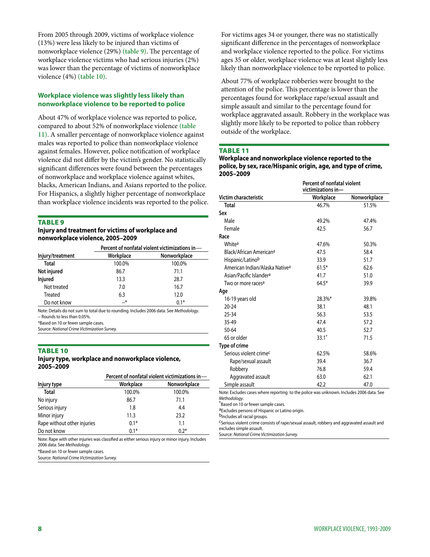From 2005 through 2009, victims of workplace violence (13%) were less likely to be injured than victims of nonworkplace violence (29%) **(table 9)**. The percentage of workplace violence victims who had serious injuries (2%) was lower than the percentage of victims of nonworkplace violence (4%) **(table 10)**.

# **Workplace violence was slightly less likely than nonworkplace violence to be reported to police**

About 47% of workplace violence was reported to police, compared to about 52% of nonworkplace violence **(table 11)**. A smaller percentage of nonworkplace violence against males was reported to police than nonworkplace violence against females. However, police notification of workplace violence did not differ by the victim's gender. No statistically significant differences were found between the percentages of nonworkplace and workplace violence against whites, blacks, American Indians, and Asians reported to the police. For Hispanics, a slightly higher percentage of nonworkplace than workplace violence incidents was reported to the police.

#### **TABLE 9**

#### **Injury and treatment for victims of workplace and nonworkplace violence, 2005–2009**

|                  | Percent of nonfatal violent victimizations in- |              |  |
|------------------|------------------------------------------------|--------------|--|
| Injury/treatment | Workplace                                      | Nonworkplace |  |
| <b>Total</b>     | 100.0%                                         | 100.0%       |  |
| Not injured      | 86.7                                           | 71.1         |  |
| Injured          | 13.3                                           | 28.7         |  |
| Not treated      | 7.0                                            | 16.7         |  |
| Treated          | 6.3                                            | 12.0         |  |
| Do not know      | $\rightarrow$                                  | $0.1*$       |  |

Note: Details do not sum to total due to rounding. Includes 2006 data. See *Methodology*. -- Rounds to less than 0.05%.

\*Based on 10 or fewer sample cases.

Source: *National Crime Victimization Survey.*

#### **TABLE 10**

#### **Injury type, workplace and nonworkplace violence, 2005–2009**

|                             | Percent of nonfatal violent victimizations in- |              |  |  |
|-----------------------------|------------------------------------------------|--------------|--|--|
| Injury type                 | Workplace                                      | Nonworkplace |  |  |
| <b>Total</b>                | 100.0%                                         | 100.0%       |  |  |
| No injury                   | 86.7                                           | 71.1         |  |  |
| Serious injury              | 1.8                                            | 4.4          |  |  |
| Minor injury                | 11.3                                           | 23.2         |  |  |
| Rape without other injuries | $0.1*$                                         | 1.1          |  |  |
| Do not know                 | $0.1*$                                         | $0.2*$       |  |  |

Note: Rape with other injuries was classified as either serious injury or minor injury. Includes 2006 data. See *Methodology*.

\*Based on 10 or fewer sample cases.

Source: *National Crime Victimization Survey.*

For victims ages 34 or younger, there was no statistically significant difference in the percentages of nonworkplace and workplace violence reported to the police. For victims ages 35 or older, workplace violence was at least slightly less likely than nonworkplace violence to be reported to police.

About 77% of workplace robberies were brought to the attention of the police. This percentage is lower than the percentages found for workplace rape/sexual assault and simple assault and similar to the percentage found for workplace aggravated assault. Robbery in the workplace was slightly more likely to be reported to police than robbery outside of the workplace.

# Table 11

#### **Workplace and nonworkplace violence reported to the police, by sex, race/Hispanic origin, age, and type of crime, 2005–2009**

|                                            | Percent of nonfatal violent<br>victimizations in- |              |  |
|--------------------------------------------|---------------------------------------------------|--------------|--|
| Victim characteristic                      | Workplace                                         | Nonworkplace |  |
| <b>Total</b>                               | 46.7%                                             | 51.5%        |  |
| Sex                                        |                                                   |              |  |
| Male                                       | 49.2%                                             | 47.4%        |  |
| Female                                     | 42.5                                              | 56.7         |  |
| Race                                       |                                                   |              |  |
| White <sup>a</sup>                         | 47.6%                                             | 50.3%        |  |
| Black/African Americana                    | 47.5                                              | 58.4         |  |
| Hispanic/Latinob                           | 33.9                                              | 51.7         |  |
| American Indian/Alaska Native <sup>a</sup> | $61.5*$                                           | 62.6         |  |
| Asian/Pacific Islander <sup>a</sup>        | 41.7                                              | 51.0         |  |
| Two or more races <sup>a</sup>             | $64.5*$                                           | 39.9         |  |
| Age                                        |                                                   |              |  |
| 16-19 years old                            | 28.3%*                                            | 39.8%        |  |
| $20 - 24$                                  | 38.1                                              | 48.1         |  |
| $25 - 34$                                  | 56.3                                              | 53.5         |  |
| 35-49                                      | 47.4                                              | 57.2         |  |
| 50-64                                      | 40.5                                              | 52.7         |  |
| 65 or older                                | $33.1*$                                           | 71.5         |  |
| Type of crime                              |                                                   |              |  |
| Serious violent crimes                     | 62.5%                                             | 58.6%        |  |
| Rape/sexual assault                        | 39.4                                              | 36.7         |  |
| Robbery                                    | 76.8                                              | 59.4         |  |
| Aggravated assault                         | 63.0                                              | 62.1         |  |
| Simple assault                             | 42.2                                              | 47.0         |  |

\*Based on 10 or fewer sample cases.

aExcludes persons of Hispanic or Latino origin.

bIncludes all racial groups.

cSerious violent crime consists of rape/sexual assault, robbery and aggravated assault and excludes simple assault.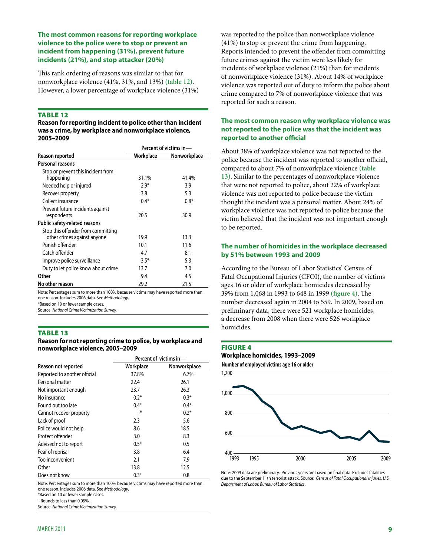# **The most common reasons for reporting workplace violence to the police were to stop or prevent an incident from happening (31%), prevent future incidents (21%), and stop attacker (20%)**

This rank ordering of reasons was similar to that for nonworkplace violence (41%, 31%, and 13%) **(table 12)**. However, a lower percentage of workplace violence (31%)

#### **TABLE 12**

**Reason for reporting incident to police other than incident was a crime, by workplace and nonworkplace violence, 2005–2009**

|                                      | Percent of victims in- |              |  |
|--------------------------------------|------------------------|--------------|--|
| Reason reported                      | Workplace              | Nonworkplace |  |
| Personal reasons                     |                        |              |  |
| Stop or prevent this incident from   |                        |              |  |
| happening                            | 31.1%                  | 41.4%        |  |
| Needed help or injured               | $2.9*$                 | 3.9          |  |
| Recover property                     | 3.8                    | 5.3          |  |
| Collect insurance                    | $0.4*$                 | $0.8*$       |  |
| Prevent future incidents against     |                        |              |  |
| respondents                          | 20.5                   | 30.9         |  |
| <b>Public safety-related reasons</b> |                        |              |  |
| Stop this offender from committing   |                        |              |  |
| other crimes against anyone          | 19.9                   | 13.3         |  |
| Punish offender                      | 10.1                   | 11.6         |  |
| Catch offender                       | 4.7                    | 8.1          |  |
| Improve police surveillance          | $3.5*$                 | 5.3          |  |
| Duty to let police know about crime  | 13.7                   | 7.0          |  |
| Other                                | 9.4                    | 4.5          |  |
| No other reason                      | 29.2                   | 21.5         |  |

Note: Percentages sum to more than 100% because victims may have reported more than one reason. Includes 2006 data. See *Methodology*.

\*Based on 10 or fewer sample cases.

Source: *National Crime Victimization Survey.*

#### **TABLE 13**

**Reason for not reporting crime to police, by workplace and nonworkplace violence, 2005–2009**

|                              | Percent of victims in- |              |  |  |
|------------------------------|------------------------|--------------|--|--|
| Reason not reported          | Workplace              | Nonworkplace |  |  |
| Reported to another official | 37.8%                  | 6.7%         |  |  |
| Personal matter              | 22.4                   | 26.1         |  |  |
| Not important enough         | 23.7                   | 26.3         |  |  |
| No insurance                 | $0.2*$                 | $0.3*$       |  |  |
| Found out too late           | $0.4*$                 | $0.4*$       |  |  |
| Cannot recover property      | $-$ *                  | $0.2*$       |  |  |
| Lack of proof                | 2.3                    | 5.6          |  |  |
| Police would not help        | 8.6                    | 18.5         |  |  |
| Protect offender             | 3.0                    | 8.3          |  |  |
| Advised not to report        | $0.5*$                 | 0.5          |  |  |
| Fear of reprisal             | 3.8                    | 6.4          |  |  |
| Too inconvenient             | 2.1                    | 7.9          |  |  |
| Other                        | 13.8                   | 12.5         |  |  |
| Does not know                | $0.3*$                 | 0.8          |  |  |

Note: Percentages sum to more than 100% because victims may have reported more than one reason. Includes 2006 data. See *Methodology*.

\*Based on 10 or fewer sample cases.

--Rounds to less than 0.05%.

Source: *National Crime Victimization Survey.*

was reported to the police than nonworkplace violence (41%) to stop or prevent the crime from happening. Reports intended to prevent the offender from committing future crimes against the victim were less likely for incidents of workplace violence (21%) than for incidents of nonworkplace violence (31%). About 14% of workplace violence was reported out of duty to inform the police about crime compared to 7% of nonworkplace violence that was reported for such a reason.

# **The most common reason why workplace violence was not reported to the police was that the incident was reported to another official**

About 38% of workplace violence was not reported to the police because the incident was reported to another official, compared to about 7% of nonworkplace violence **(table 13)**. Similar to the percentages of nonworkplace violence that were not reported to police, about 22% of workplace violence was not reported to police because the victim thought the incident was a personal matter. About 24% of workplace violence was not reported to police because the victim believed that the incident was not important enough to be reported.

# **The number of homicides in the workplace decreased by 51% between 1993 and 2009**

According to the Bureau of Labor Statistics' Census of Fatal Occupational Injuries (CFOI), the number of victims ages 16 or older of workplace homicides decreased by 39% from 1,068 in 1993 to 648 in 1999 **(figure 4)**. The number decreased again in 2004 to 559. In 2009, based on preliminary data, there were 521 workplace homicides, a decrease from 2008 when there were 526 workplace homicides.





Note: 2009 data are preliminary. Previous years are based on final data. Excludes fatalities due to the September 11th terrorist attack. Source: *Census of Fatal Occupational Injuries*, *U.S. Department of Labor, Bureau of Labor Statistics*.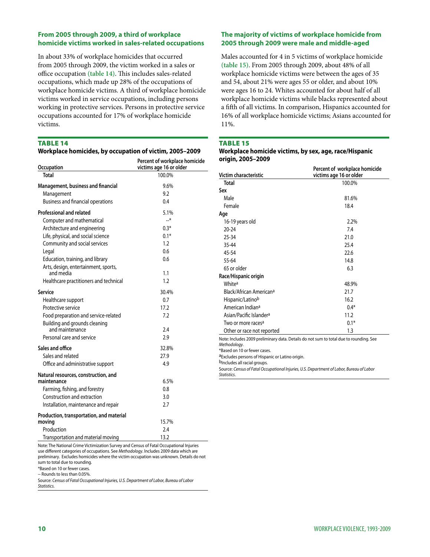# **From 2005 through 2009, a third of workplace homicide victims worked in sales-related occupations**

In about 33% of workplace homicides that occurred from 2005 through 2009, the victim worked in a sales or office occupation **(table 14)**. This includes sales-related occupations, which made up 28% of the occupations of workplace homicide victims. A third of workplace homicide victims worked in service occupations, including persons working in protective services. Persons in protective service occupations accounted for 17% of workplace homicide victims.

# **TABLE 14**

| Workplace homicides, by occupation of victim, 2005-2009 |  |  |
|---------------------------------------------------------|--|--|
|                                                         |  |  |

| Occupation                                             | Percent of workplace homicide<br>victims age 16 or older |
|--------------------------------------------------------|----------------------------------------------------------|
| <b>Total</b>                                           | 100.0%                                                   |
| Management, business and financial                     | 9.6%                                                     |
| Management<br><b>Business and financial operations</b> | 9.2<br>0.4                                               |
| Professional and related                               | 5.1%                                                     |
| Computer and mathematical                              | $-$ *                                                    |
| Architecture and engineering                           | $0.3*$                                                   |
| Life, physical, and social science                     | $0.1*$                                                   |
| Community and social services                          | 1.2                                                      |
| Legal                                                  | 0.6                                                      |
| Education, training, and library                       | 0.6                                                      |
| Arts, design, entertainment, sports,<br>and media      | 1.1                                                      |
| Healthcare practitioners and technical                 | 1.2                                                      |
| Service                                                | 30.4%                                                    |
| Healthcare support                                     | 0.7                                                      |
| Protective service                                     | 17.2                                                     |
| Food preparation and service-related                   | 7.2                                                      |
| Building and grounds cleaning                          |                                                          |
| and maintenance                                        | 2.4                                                      |
| Personal care and service                              | 2.9                                                      |
| Sales and office                                       | 32.8%                                                    |
| Sales and related                                      | 27.9                                                     |
| Office and administrative support                      | 4.9                                                      |
| Natural resources, construction, and                   |                                                          |
| maintenance                                            | 6.5%                                                     |
| Farming, fishing, and forestry                         | 0.8                                                      |
| Construction and extraction                            | 3.0                                                      |
| Installation, maintenance and repair                   | 2.7                                                      |
| Production, transportation, and material               |                                                          |
| moving                                                 | 15.7%                                                    |
| Production                                             | 2.4                                                      |
| Transportation and material moving                     | 13.2                                                     |

Note: The National Crime Victimization Survey and Census of Fatal Occupational Injuries use different categories of occupations. See *Methodology*. Includes 2009 data which are preliminary. Excludes homicides where the victim occupation was unknown. Details do not sum to total due to rounding.

\*Based on 10 or fewer cases.

-- Rounds to less than 0.05%.

Source: *Census of Fatal Occupational Injuries, U.S. Department of Labor, Bureau of Labor Statistics*.

# **The majority of victims of workplace homicide from 2005 through 2009 were male and middle-aged**

Males accounted for 4 in 5 victims of workplace homicide **(table 15)**. From 2005 through 2009, about 48% of all workplace homicide victims were between the ages of 35 and 54, about 21% were ages 55 or older, and about 10% were ages 16 to 24. Whites accounted for about half of all workplace homicide victims while blacks represented about a fifth of all victims. In comparison, Hispanics accounted for 16% of all workplace homicide victims; Asians accounted for 11%.

#### Table 15

#### **Workplace homicide victims, by sex, age, race/Hispanic origin, 2005–2009**

| Victim characteristic                                                                                                                  | Percent of workplace homicide<br>victims age 16 or older |
|----------------------------------------------------------------------------------------------------------------------------------------|----------------------------------------------------------|
| Total                                                                                                                                  | 100.0%                                                   |
| Sex                                                                                                                                    |                                                          |
| Male                                                                                                                                   | 81.6%                                                    |
| Female                                                                                                                                 | 18.4                                                     |
| Age                                                                                                                                    |                                                          |
| 16-19 years old                                                                                                                        | 2.2%                                                     |
| $20 - 24$                                                                                                                              | 7.4                                                      |
| 25-34                                                                                                                                  | 21.0                                                     |
| 35-44                                                                                                                                  | 25.4                                                     |
| 45-54                                                                                                                                  | 22.6                                                     |
| 55-64                                                                                                                                  | 14.8                                                     |
| 65 or older                                                                                                                            | 6.3                                                      |
| Race/Hispanic origin                                                                                                                   |                                                          |
| Whitea                                                                                                                                 | 48.9%                                                    |
| Black/African American <sup>a</sup>                                                                                                    | 21.7                                                     |
| Hispanic/Latinob                                                                                                                       | 16.2                                                     |
| American Indian <sup>a</sup>                                                                                                           | $0.4*$                                                   |
| Asian/Pacific Islander <sup>a</sup>                                                                                                    | 11.2                                                     |
| Two or more races <sup>a</sup>                                                                                                         | $0.1*$                                                   |
| Other or race not reported                                                                                                             | 1.3                                                      |
| Note: Includes 2009 preliminary data. Details do not sum to total due to rounding. See<br>Methodology.<br>*Based on 10 or fewer cases. |                                                          |
| aExcludes persons of Hispanic or Latino origin.                                                                                        |                                                          |
| b <sub>Includes all racial groups.</sub>                                                                                               |                                                          |
| Source: Census of Fatal Occupational Injuries, U.S. Department of Labor, Bureau of Labor<br>Statistics.                                |                                                          |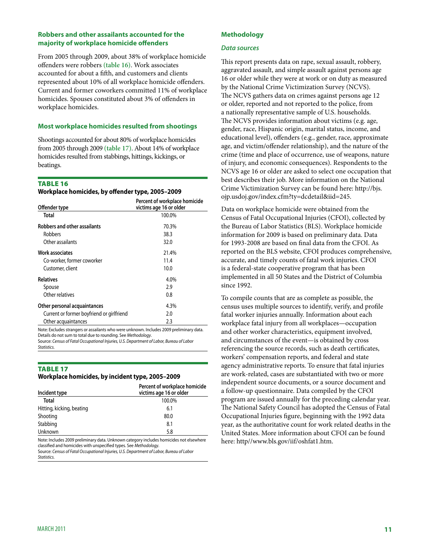# **Robbers and other assailants accounted for the majority of workplace homicide offenders**

From 2005 through 2009, about 38% of workplace homicide offenders were robbers **(table 16)**. Work associates accounted for about a fifth, and customers and clients represented about 10% of all workplace homicide offenders. Current and former coworkers committed 11% of workplace homicides. Spouses constituted about 3% of offenders in workplace homicides.

#### **Most workplace homicides resulted from shootings**

Shootings accounted for about 80% of workplace homicides from 2005 through 2009 **(table 17)**. About 14% of workplace homicides resulted from stabbings, hittings, kickings, or beatings.

#### **TABLE 16**

**Workplace homicides, by offender type, 2005–2009**

| Offender type                             | Percent of workplace homicide<br>victims age 16 or older |
|-------------------------------------------|----------------------------------------------------------|
| Total                                     | 100.0%                                                   |
| <b>Robbers and other assailants</b>       | 70.3%                                                    |
| Robbers                                   | 38.3                                                     |
| Other assailants                          | 32.0                                                     |
| <b>Work associates</b>                    | 21.4%                                                    |
| Co-worker, former coworker                | 11.4                                                     |
| Customer, client                          | 10.0                                                     |
| <b>Relatives</b>                          | 4.0%                                                     |
| Spouse                                    | 2.9                                                      |
| Other relatives                           | 0.8                                                      |
| Other personal acquaintances              | 4.3%                                                     |
| Current or former boyfriend or girlfriend | 2.0                                                      |
| Other acquaintances                       | 2.3                                                      |

Note: Excludes strangers or assailants who were unknown. Includes 2009 preliminary data. Details do not sum to total due to rounding. See *Methodology*.

Source: *Census of Fatal Occupational Injuries, U.S. Department of Labor, Bureau of Labor Statistics*.

# Table 17

#### **Workplace homicides, by incident type, 2005–2009**

| Incident type             | Percent of workplace homicide<br>victims age 16 or older |
|---------------------------|----------------------------------------------------------|
| Total                     | 100.0%                                                   |
| Hitting, kicking, beating | 6.1                                                      |
| Shooting                  | 80.0                                                     |
| Stabbing                  | 8.1                                                      |
| Unknown                   | 5.8                                                      |

Note: Includes 2009 preliminary data. Unknown category includes homicides not elsewhere classified and homicides with unspecified types. See *Methodology*. Source: *Census of Fatal Occupational Injuries, U.S. Department of Labor, Bureau of Labor Statistics*.

# **Methodology**

#### *Data sources*

This report presents data on rape, sexual assault, robbery, aggravated assault, and simple assault against persons age 16 or older while they were at work or on duty as measured by the National Crime Victimization Survey (NCVS). The NCVS gathers data on crimes against persons age 12 or older, reported and not reported to the police, from a nationally representative sample of U.S. households. The NCVS provides information about victims (e.g. age, gender, race, Hispanic origin, marital status, income, and educational level), offenders (e.g., gender, race, approximate age, and victim/offender relationship), and the nature of the crime (time and place of occurrence, use of weapons, nature of injury, and economic consequences). Respondents to the NCVS age 16 or older are asked to select one occupation that best describes their job. More information on the National Crime Victimization Survey can be found here: http://bjs. ojp.usdoj.gov/index.cfm?ty=dcdetail&iid=245.

Data on workplace homicide were obtained from the Census of Fatal Occupational Injuries (CFOI), collected by the Bureau of Labor Statistics (BLS). Workplace homicide information for 2009 is based on preliminary data. Data for 1993-2008 are based on final data from the CFOI. As reported on the BLS website, CFOI produces comprehensive, accurate, and timely counts of fatal work injuries. CFOI is a federal-state cooperative program that has been implemented in all 50 States and the District of Columbia since 1992.

To compile counts that are as complete as possible, the census uses multiple sources to identify, verify, and profile fatal worker injuries annually. Information about each workplace fatal injury from all workplaces—occupation and other worker characteristics, equipment involved, and circumstances of the event—is obtained by cross referencing the source records, such as death certificates, workers' compensation reports, and federal and state agency administrative reports. To ensure that fatal injuries are work-related, cases are substantiated with two or more independent source documents, or a source document and a follow-up questionnaire. Data compiled by the CFOI program are issued annually for the preceding calendar year. The National Safety Council has adopted the Census of Fatal Occupational Injuries figure, beginning with the 1992 data year, as the authoritative count for work related deaths in the United States. More information about CFOI can be found here: http//www.bls.gov/iif/oshfat1.htm.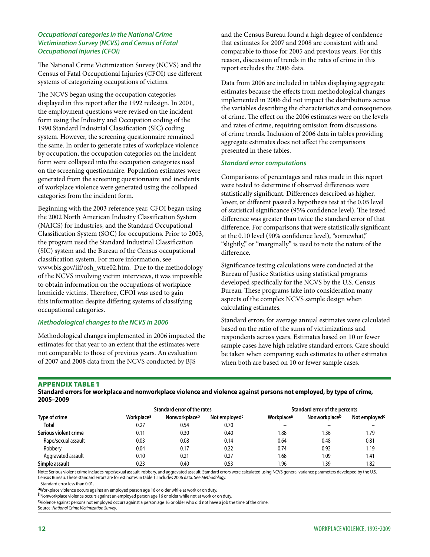# *Occupational categories in the National Crime Victimization Survey (NCVS) and Census of Fatal Occupational Injuries (CFOI)*

The National Crime Victimization Survey (NCVS) and the Census of Fatal Occupational Injuries (CFOI) use different systems of categorizing occupations of victims.

The NCVS began using the occupation categories displayed in this report after the 1992 redesign. In 2001, the employment questions were revised on the incident form using the Industry and Occupation coding of the 1990 Standard Industrial Classification (SIC) coding system. However, the screening questionnaire remained the same. In order to generate rates of workplace violence by occupation, the occupation categories on the incident form were collapsed into the occupation categories used on the screening questionnaire. Population estimates were generated from the screening questionnaire and incidents of workplace violence were generated using the collapsed categories from the incident form.

Beginning with the 2003 reference year, CFOI began using the 2002 North American Industry Classification System (NAICS) for industries, and the Standard Occupational Classification System (SOC) for occupations. Prior to 2003, the program used the Standard Industrial Classification (SIC) system and the Bureau of the Census occupational classification system. For more information, see www.bls.gov/iif/osh\_wtre02.htm. Due to the methodology of the NCVS involving victim interviews, it was impossible to obtain information on the occupations of workplace homicide victims. Therefore, CFOI was used to gain this information despite differing systems of classifying occupational categories.

#### *Methodological changes to the NCVS in 2006*

Methodological changes implemented in 2006 impacted the estimates for that year to an extent that the estimates were not comparable to those of previous years. An evaluation of 2007 and 2008 data from the NCVS conducted by BJS

and the Census Bureau found a high degree of confidence that estimates for 2007 and 2008 are consistent with and comparable to those for 2005 and previous years. For this reason, discussion of trends in the rates of crime in this report excludes the 2006 data.

Data from 2006 are included in tables displaying aggregate estimates because the effects from methodological changes implemented in 2006 did not impact the distributions across the variables describing the characteristics and consequences of crime. The effect on the 2006 estimates were on the levels and rates of crime, requiring omission from discussions of crime trends. Inclusion of 2006 data in tables providing aggregate estimates does not affect the comparisons presented in these tables.

#### *Standard error computations*

Comparisons of percentages and rates made in this report were tested to determine if observed differences were statistically significant. Differences described as higher, lower, or different passed a hypothesis test at the 0.05 level of statistical significance (95% confidence level). The tested difference was greater than twice the standard error of that difference. For comparisons that were statistically significant at the 0.10 level (90% confidence level), "somewhat," "slightly," or "marginally" is used to note the nature of the difference.

Significance testing calculations were conducted at the Bureau of Justice Statistics using statistical programs developed specifically for the NCVS by the U.S. Census Bureau. These programs take into consideration many aspects of the complex NCVS sample design when calculating estimates.

Standard errors for average annual estimates were calculated based on the ratio of the sums of victimizations and respondents across years. Estimates based on 10 or fewer sample cases have high relative standard errors. Care should be taken when comparing such estimates to other estimates when both are based on 10 or fewer sample cases.

#### Appendix table 1

**Standard errors for workplace and nonworkplace violence and violence against persons not employed, by type of crime, 2005–2009**

|                       |            | Standard error of the rates |                           |                                       | Standard error of the percents |                           |  |
|-----------------------|------------|-----------------------------|---------------------------|---------------------------------------|--------------------------------|---------------------------|--|
| Type of crime         | Workplacea | Nonworkplace <sup>b</sup>   | Not employed <sup>c</sup> | Workplace <sup>a</sup>                | Nonworkplaceb                  | Not employed <sup>c</sup> |  |
| <b>Total</b>          | 0.27       | 0.54                        | 0.70                      | $\hspace{0.05cm}$ – $\hspace{0.05cm}$ |                                |                           |  |
| Serious violent crime | 0.11       | 0.30                        | 0.40                      | 1.88                                  | 1.36                           | 1.79                      |  |
| Rape/sexual assault   | 0.03       | 0.08                        | 0.14                      | 0.64                                  | 0.48                           | 0.81                      |  |
| Robbery               | 0.04       | 0.17                        | 0.22                      | 0.74                                  | 0.92                           | 1.19                      |  |
| Aggravated assault    | 0.10       | 0.21                        | 0.27                      | 1.68                                  | 1.09                           | 1.41                      |  |
| Simple assault        | 0.23       | 0.40                        | 0.53                      | 1.96                                  | l.39                           | 1.82                      |  |

Note: Serious violent crime includes rape/sexual assault, robbery, and aggravated assault. Standard errors were calculated using NCVS general variance parameters developed by the U.S. Census Bureau. These standard errors are for estimates in table 1. Includes 2006 data. See *Methodology*.

--Standard error less than 0.01.

aWorkplace violence occurs against an employed person age 16 or older while at work or on duty.

bNonworkplace violence occurs against an employed person age 16 or older while not at work or on duty.

cViolence against persons not employed occurs against a person age 16 or older who did not have a job the time of the crime.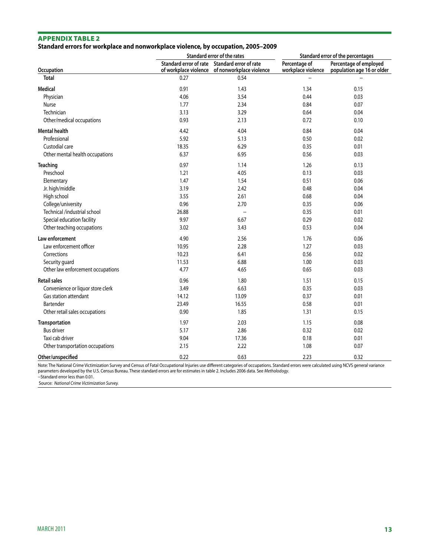# **Standard errors for workplace and nonworkplace violence, by occupation, 2005–2009**

|                                   | Standard error of the rates |                                                                                                 | Standard error of the percentages   |                                                      |
|-----------------------------------|-----------------------------|-------------------------------------------------------------------------------------------------|-------------------------------------|------------------------------------------------------|
| Occupation                        |                             | Standard error of rate Standard error of rate<br>of workplace violence of nonworkplace violence | Percentage of<br>workplace violence | Percentage of employed<br>population age 16 or older |
| <b>Total</b>                      | 0.27                        | 0.54                                                                                            |                                     |                                                      |
| <b>Medical</b>                    | 0.91                        | 1.43                                                                                            | 1.34                                | 0.15                                                 |
| Physician                         | 4.06                        | 3.54                                                                                            | 0.44                                | 0.03                                                 |
| Nurse                             | 1.77                        | 2.34                                                                                            | 0.84                                | 0.07                                                 |
| Technician                        | 3.13                        | 3.29                                                                                            | 0.64                                | 0.04                                                 |
| Other/medical occupations         | 0.93                        | 2.13                                                                                            | 0.72                                | 0.10                                                 |
| <b>Mental health</b>              | 4.42                        | 4.04                                                                                            | 0.84                                | 0.04                                                 |
| Professional                      | 5.92                        | 5.13                                                                                            | 0.50                                | 0.02                                                 |
| Custodial care                    | 18.35                       | 6.29                                                                                            | 0.35                                | 0.01                                                 |
| Other mental health occupations   | 6.37                        | 6.95                                                                                            | 0.56                                | 0.03                                                 |
| <b>Teaching</b>                   | 0.97                        | 1.14                                                                                            | 1.26                                | 0.13                                                 |
| Preschool                         | 1.21                        | 4.05                                                                                            | 0.13                                | 0.03                                                 |
| Elementary                        | 1.47                        | 1.54                                                                                            | 0.51                                | 0.06                                                 |
| Jr. high/middle                   | 3.19                        | 2.42                                                                                            | 0.48                                | 0.04                                                 |
| High school                       | 3.55                        | 2.61                                                                                            | 0.68                                | 0.04                                                 |
| College/university                | 0.96                        | 2.70                                                                                            | 0.35                                | 0.06                                                 |
| Technical /industrial school      | 26.88                       | $\overline{\phantom{a}}$                                                                        | 0.35                                | 0.01                                                 |
| Special education facility        | 9.97                        | 6.67                                                                                            | 0.29                                | 0.02                                                 |
| Other teaching occupations        | 3.02                        | 3.43                                                                                            | 0.53                                | 0.04                                                 |
| Law enforcement                   | 4.90                        | 2.56                                                                                            | 1.76                                | 0.06                                                 |
| Law enforcement officer           | 10.95                       | 2.28                                                                                            | 1.27                                | 0.03                                                 |
| Corrections                       | 10.23                       | 6.41                                                                                            | 0.56                                | 0.02                                                 |
| Security guard                    | 11.53                       | 6.88                                                                                            | 1.00                                | 0.03                                                 |
| Other law enforcement occupations | 4.77                        | 4.65                                                                                            | 0.65                                | 0.03                                                 |
| <b>Retail sales</b>               | 0.96                        | 1.80                                                                                            | 1.51                                | 0.15                                                 |
| Convenience or liquor store clerk | 3.49                        | 6.63                                                                                            | 0.35                                | 0.03                                                 |
| Gas station attendant             | 14.12                       | 13.09                                                                                           | 0.37                                | 0.01                                                 |
| Bartender                         | 23.49                       | 16.55                                                                                           | 0.58                                | 0.01                                                 |
| Other retail sales occupations    | 0.90                        | 1.85                                                                                            | 1.31                                | 0.15                                                 |
| Transportation                    | 1.97                        | 2.03                                                                                            | 1.15                                | 0.08                                                 |
| <b>Bus driver</b>                 | 5.17                        | 2.86                                                                                            | 0.32                                | 0.02                                                 |
| Taxi cab driver                   | 9.04                        | 17.36                                                                                           | 0.18                                | 0.01                                                 |
| Other transportation occupations  | 2.15                        | 2.22                                                                                            | 1.08                                | 0.07                                                 |
| Other/unspecified                 | 0.22                        | 0.63                                                                                            | 2.23                                | 0.32                                                 |

Note: The National Crime Victimization Survey and Census of Fatal Occupational Injuries use different categories of occupations. Standard errors were calculated using NCVS general variance<br>parameters developed by the U.S. --Standard error less than 0.01.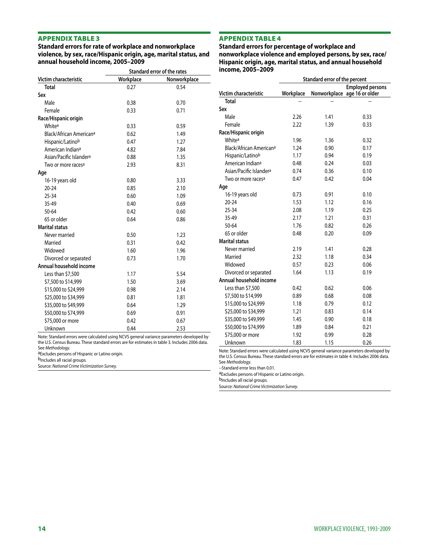**Standard errors for rate of workplace and nonworkplace violence, by sex, race/Hispanic origin, age, marital status, and annual household income, 2005–2009**

#### Appendix table 4

**Standard errors for percentage of workplace and nonworkplace violence and employed persons, by sex, race/ Hispanic origin, age, marital status, and annual household income, 2005–2009**

|                                     | Standard error of the rates |              |  |
|-------------------------------------|-----------------------------|--------------|--|
| Victim characteristic               | Workplace                   | Nonworkplace |  |
| <b>Total</b>                        | 0.27                        | 0.54         |  |
| Sex                                 |                             |              |  |
| Male                                | 0.38                        | 0.70         |  |
| Female                              | 0.33                        | 0.71         |  |
| Race/Hispanic origin                |                             |              |  |
| Whitea                              | 0.33                        | 0.59         |  |
| Black/African Americana             | 0.62                        | 1.49         |  |
| Hispanic/Latinob                    | 0.47                        | 1.27         |  |
| American Indiana                    | 4.82                        | 7.84         |  |
| Asian/Pacific Islander <sup>a</sup> | 0.88                        | 1.35         |  |
| Two or more races <sup>a</sup>      | 2.93                        | 8.31         |  |
| Age                                 |                             |              |  |
| 16-19 years old                     | 0.80                        | 3.33         |  |
| $20 - 24$                           | 0.85                        | 2.10         |  |
| 25-34                               | 0.60                        | 1.09         |  |
| 35-49                               | 0.40                        | 0.69         |  |
| 50-64                               | 0.42                        | 0.60         |  |
| 65 or older                         | 0.64                        | 0.86         |  |
| <b>Marital status</b>               |                             |              |  |
| Never married                       | 0.50                        | 1.23         |  |
| Married                             | 0.31                        | 0.42         |  |
| Widowed                             | 1.60                        | 1.96         |  |
| Divorced or separated               | 0.73                        | 1.70         |  |
| Annual household income             |                             |              |  |
| Less than \$7,500                   | 1.17                        | 5.54         |  |
| \$7,500 to \$14,999                 | 1.50                        | 3.69         |  |
| \$15,000 to \$24,999                | 0.98                        | 2.14         |  |
| \$25,000 to \$34,999                | 0.81                        | 1.81         |  |
| \$35,000 to \$49,999                | 0.64                        | 1.29         |  |
| \$50,000 to \$74,999                | 0.69                        | 0.91         |  |
| \$75,000 or more                    | 0.42                        | 0.67         |  |
| Unknown                             | 0.44                        | 2.53         |  |

Note: Standard errors were calculated using NCVS general variance parameters developed by the U.S. Census Bureau. These standard errors are for estimates in table 3. Includes 2006 data. See *Methodology*.

aExcludes persons of Hispanic or Latino origin.

b<sub>Includes all racial groups.</sub>

Source: *National Crime Victimization Survey.*

|                                     | Standard error of the percent |      |                                                         |  |
|-------------------------------------|-------------------------------|------|---------------------------------------------------------|--|
| Victim characteristic               | Workplace                     |      | <b>Employed persons</b><br>Nonworkplace age 16 or older |  |
| <b>Total</b>                        |                               |      |                                                         |  |
| Sex                                 |                               |      |                                                         |  |
| Male                                | 2.26                          | 1.41 | 0.33                                                    |  |
| Female                              | 2.22                          | 1.39 | 0.33                                                    |  |
| Race/Hispanic origin                |                               |      |                                                         |  |
| Whitea                              | 1.96                          | 1.36 | 0.32                                                    |  |
| Black/African American <sup>a</sup> | 1.24                          | 0.90 | 0.17                                                    |  |
| Hispanic/Latinob                    | 1.17                          | 0.94 | 0.19                                                    |  |
| American Indian <sup>a</sup>        | 0.48                          | 0.24 | 0.03                                                    |  |
| Asian/Pacific Islander <sup>a</sup> | 0.74                          | 0.36 | 0.10                                                    |  |
| Two or more races <sup>a</sup>      | 0.47                          | 0.42 | 0.04                                                    |  |
| Age                                 |                               |      |                                                         |  |
| 16-19 years old                     | 0.73                          | 0.91 | 0.10                                                    |  |
| $20 - 24$                           | 1.53                          | 1.12 | 0.16                                                    |  |
| $25 - 34$                           | 2.08                          | 1.19 | 0.25                                                    |  |
| 35-49                               | 2.17                          | 1.21 | 0.31                                                    |  |
| 50-64                               | 1.76                          | 0.82 | 0.26                                                    |  |
| 65 or older                         | 0.48                          | 0.20 | 0.09                                                    |  |
| <b>Marital status</b>               |                               |      |                                                         |  |
| Never married                       | 2.19                          | 1.41 | 0.28                                                    |  |
| Married                             | 2.32                          | 1.18 | 0.34                                                    |  |
| Widowed                             | 0.57                          | 0.23 | 0.06                                                    |  |
| Divorced or separated               | 1.64                          | 1.13 | 0.19                                                    |  |
| Annual household income             |                               |      |                                                         |  |
| Less than \$7,500                   | 0.42                          | 0.62 | 0.06                                                    |  |
| \$7,500 to \$14,999                 | 0.89                          | 0.68 | 0.08                                                    |  |
| \$15,000 to \$24,999                | 1.18                          | 0.79 | 0.12                                                    |  |
| \$25,000 to \$34,999                | 1.21                          | 0.83 | 0.14                                                    |  |
| \$35,000 to \$49,999                | 1.45                          | 0.90 | 0.18                                                    |  |
| \$50,000 to \$74,999                | 1.89                          | 0.84 | 0.21                                                    |  |
| \$75,000 or more                    | 1.92                          | 0.99 | 0.28                                                    |  |
| Unknown                             | 1.83                          | 1.15 | 0.26                                                    |  |

Note: Standard errors were calculated using NCVS general variance parameters developed by the U.S. Census Bureau. These standard errors are for estimates in table 4. Includes 2006 data. See *Methodology*.

--Standard error less than 0.01.

aExcludes persons of Hispanic or Latino origin.

b<sub>Includes all racial groups.</sub>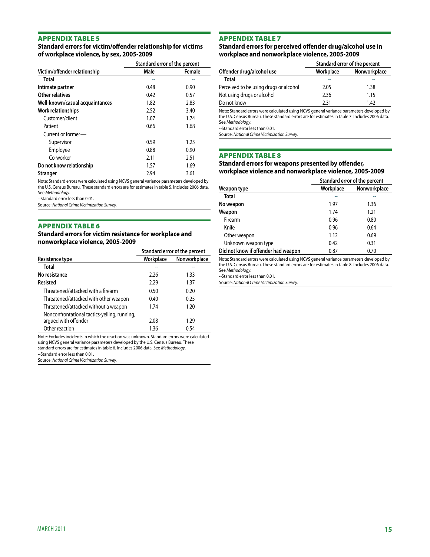# **Standard errors for victim/offender relationship for victims of workplace violence, by sex, 2005-2009**

|                                 | Standard error of the percent |        |  |
|---------------------------------|-------------------------------|--------|--|
| Victim/offender relationship    | Male                          | Female |  |
| Total                           | ٠.                            |        |  |
| Intimate partner                | 0.48                          | 0.90   |  |
| Other relatives                 | 0.42                          | 0.57   |  |
| Well-known/casual acquaintances | 1.82                          | 2.83   |  |
| Work relationships              | 2.52                          | 3.40   |  |
| Customer/client                 | 1.07                          | 1.74   |  |
| Patient                         | 0.66                          | 1.68   |  |
| Current or former-              |                               |        |  |
| Supervisor                      | 0.59                          | 1.25   |  |
| Employee                        | 0.88                          | 0.90   |  |
| Co-worker                       | 2.11                          | 2.51   |  |
| Do not know relationship        | 1.57                          | 1.69   |  |
| Stranger                        | 2.94                          | 3.61   |  |

Note: Standard errors were calculated using NCVS general variance parameters developed by the U.S. Census Bureau. These standard errors are for estimates in table 5. Includes 2006 data. See *Methodology*.

--Standard error less than 0.01.

Source: *National Crime Victimization Survey.*

#### Appendix table 6

**Standard errors for victim resistance for workplace and nonworkplace violence, 2005-2009**

| Standard error of the percent |              |
|-------------------------------|--------------|
| Workplace                     | Nonworkplace |
|                               | --           |
| 2.26                          | 1.33         |
| 2.29                          | 1.37         |
| 0.50                          | 0.20         |
| 0.40                          | 0.25         |
| 1.74                          | 1.20         |
|                               |              |
| 2.08                          | 1.29         |
| 1.36                          | 0.54         |
|                               |              |

Note: Excludes incidents in which the reaction was unknown. Standard errors were calculated using NCVS general variance parameters developed by the U.S. Census Bureau. These standard errors are for estimates in table 6. Includes 2006 data. See *Methodology*.

--Standard error less than 0.01.

Source: *National Crime Victimization Survey.*

#### Appendix table 7

#### **Standard errors for perceived offender drug/alcohol use in workplace and nonworkplace violence, 2005-2009**

|                                        | Standard error of the percent |              |
|----------------------------------------|-------------------------------|--------------|
| Offender drug/alcohol use              | Workplace                     | Nonworkplace |
| <b>Total</b>                           |                               |              |
| Perceived to be using drugs or alcohol | 2.05                          | 1.38         |
| Not using drugs or alcohol             | 2.36                          | 1.15         |
| Do not know                            | 2.31                          | 1.42         |
|                                        |                               |              |

Note: Standard errors were calculated using NCVS general variance parameters developed by the U.S. Census Bureau. These standard errors are for estimates in table 7. Includes 2006 data. See *Methodology*.

--Standard error less than 0.01.

Source: *National Crime Victimization Survey.*

#### Appendix table 8

#### **Standard errors for weapons presented by offender, workplace violence and nonworkplace violence, 2005-2009**

|                                     |           | Standard error of the percent |  |
|-------------------------------------|-----------|-------------------------------|--|
| Weapon type                         | Workplace | Nonworkplace                  |  |
| Total                               |           |                               |  |
| No weapon                           | 1.97      | 1.36                          |  |
| Weapon                              | 1.74      | 1.21                          |  |
| Firearm                             | 0.96      | 0.80                          |  |
| Knife                               | 0.96      | 0.64                          |  |
| Other weapon                        | 1.12      | 0.69                          |  |
| Unknown weapon type                 | 0.42      | 0.31                          |  |
| Did not know if offender had weapon | 0.87      | 0.70                          |  |

Note: Standard errors were calculated using NCVS general variance parameters developed by the U.S. Census Bureau. These standard errors are for estimates in table 8. Includes 2006 data. See *Methodology*.

--Standard error less than 0.01.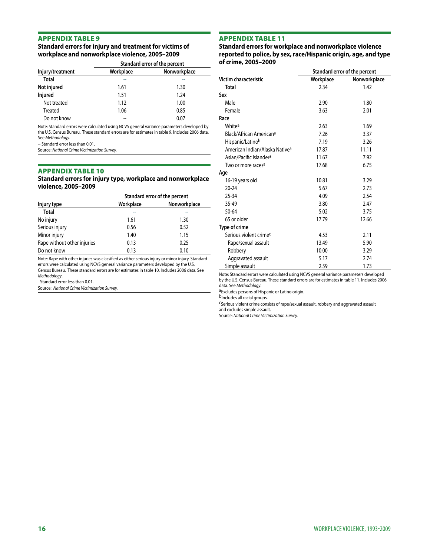# **Standard errors for injury and treatment for victims of workplace and nonworkplace violence, 2005–2009**

|                  | Standard error of the percent |              |
|------------------|-------------------------------|--------------|
| Injury/treatment | Workplace                     | Nonworkplace |
| <b>Total</b>     |                               |              |
| Not injured      | 1.61                          | 1.30         |
| Injured          | 1.51                          | 1.24         |
| Not treated      | 1.12                          | 1.00         |
| Treated          | 1.06                          | 0.85         |
| Do not know      |                               | 0.07         |

Note: Standard errors were calculated using NCVS general variance parameters developed by the U.S. Census Bureau. These standard errors are for estimates in table 9. Includes 2006 data. See *Methodology*.

-- Standard error less than 0.01.

Source: *National Crime Victimization Survey.*

#### Appendix table 10

**Standard errors for injury type, workplace and nonworkplace violence, 2005–2009**

|                             | Standard error of the percent |              |
|-----------------------------|-------------------------------|--------------|
| Injury type                 | Workplace                     | Nonworkplace |
| <b>Total</b>                |                               |              |
| No injury                   | 1.61                          | 1.30         |
| Serious injury              | 0.56                          | 0.52         |
| Minor injury                | 1.40                          | 1.15         |
| Rape without other injuries | 0.13                          | 0.25         |
| Do not know                 | 0.13                          | 0.10         |

Note: Rape with other injuries was classified as either serious injury or minor injury. Standard errors were calculated using NCVS general variance parameters developed by the U.S. Census Bureau. These standard errors are for estimates in table 10. Includes 2006 data. See *Methodology*.

- Standard error less than 0.01.

Source: *National Crime Victimization Survey.*

#### Appendix table 11

**Standard errors for workplace and nonworkplace violence reported to police, by sex, race/Hispanic origin, age, and type of crime, 2005–2009**

|                                            | Standard error of the percent |              |
|--------------------------------------------|-------------------------------|--------------|
| Victim characteristic                      | Workplace                     | Nonworkplace |
| <b>Total</b>                               | 2.34                          | 1.42         |
| Sex                                        |                               |              |
| Male                                       | 2.90                          | 1.80         |
| Female                                     | 3.63                          | 2.01         |
| Race                                       |                               |              |
| Whitea                                     | 2.63                          | 1.69         |
| Black/African American <sup>a</sup>        | 7.26                          | 3.37         |
| Hispanic/Latinob                           | 7.19                          | 3.26         |
| American Indian/Alaska Native <sup>a</sup> | 17.87                         | 11.11        |
| Asian/Pacific Islander <sup>a</sup>        | 11.67                         | 7.92         |
| Two or more races <sup>a</sup>             | 17.68                         | 6.75         |
| Age                                        |                               |              |
| 16-19 years old                            | 10.81                         | 3.29         |
| $20 - 24$                                  | 5.67                          | 2.73         |
| $25 - 34$                                  | 4.09                          | 2.54         |
| 35-49                                      | 3.80                          | 2.47         |
| $50 - 64$                                  | 5.02                          | 3.75         |
| 65 or older                                | 17.79                         | 12.66        |
| Type of crime                              |                               |              |
| Serious violent crime <sup>c</sup>         | 4.53                          | 2.11         |
| Rape/sexual assault                        | 13.49                         | 5.90         |
| Robbery                                    | 10.00                         | 3.29         |
| Aggravated assault                         | 5.17                          | 2.74         |
| Simple assault                             | 2.59                          | 1.73         |

Note: Standard errors were calculated using NCVS general variance parameters developed by the U.S. Census Bureau. These standard errors are for estimates in table 11. Includes 2006 data. See *Methodology*.

a<sub>Excludes</sub> persons of Hispanic or Latino origin.

b<sub>Includes</sub> all racial groups.

cSerious violent crime consists of rape/sexual assault, robbery and aggravated assault and excludes simple assault.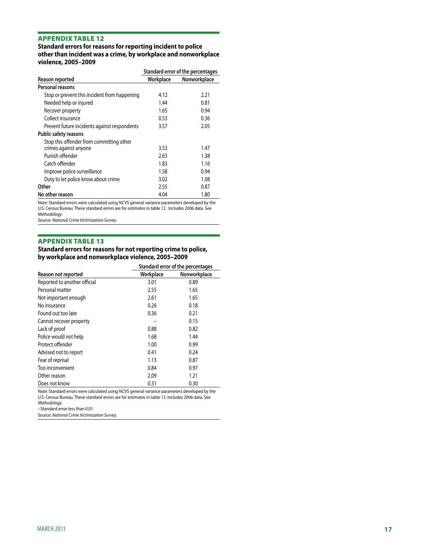**Standard errors for reasons for reporting incident to police other than incident was a crime, by workplace and nonworkplace violence, 2005–2009**

|                                              |           | Standard error of the percentages |
|----------------------------------------------|-----------|-----------------------------------|
| Reason reported                              | Workplace | Nonworkplace                      |
| Personal reasons                             |           |                                   |
| Stop or prevent this incident from happening | 4.12      | 2.21                              |
| Needed help or injured                       | 1.44      | 0.81                              |
| Recover property                             | 1.65      | 0.94                              |
| Collect insurance                            | 0.53      | 0.36                              |
| Prevent future incidents against respondents | 3.57      | 2.05                              |
| Public safety reasons                        |           |                                   |
| Stop this offender from committing other     |           |                                   |
| crimes against anyone                        | 3.53      | 1.47                              |
| Punish offender                              | 2.63      | 1.38                              |
| Catch offender                               | 1.83      | 1.16                              |
| Improve police surveillance                  | 1.58      | 0.94                              |
| Duty to let police know about crime          | 3.02      | 1.08                              |
| Other                                        | 2.55      | 0.87                              |
| No other reason                              | 4.04      | 1.80                              |

Note: Standard errors were calculated using NCVS general variance parameters developed by the U.S. Census Bureau. These standard errors are for estimates in table 12. Includes 2006 data. See *Methodology*.

Source: *National Crime Victimization Survey.*

#### Appendix table 13

**Standard errors for reasons for not reporting crime to police, by workplace and nonworkplace violence, 2005–2009**

|                              | Standard error of the percentages |              |
|------------------------------|-----------------------------------|--------------|
| Reason not reported          | Workplace                         | Nonworkplace |
| Reported to another official | 3.01                              | 0.89         |
| Personal matter              | 2.55                              | 1.65         |
| Not important enough         | 2.61                              | 1.65         |
| No insurance                 | 0.26                              | 0.18         |
| Found out too late           | 0.36                              | 0.21         |
| Cannot recover property      | --                                | 0.15         |
| Lack of proof                | 0.88                              | 0.82         |
| Police would not help        | 1.68                              | 1.44         |
| Protect offender             | 1.00                              | 0.99         |
| Advised not to report        | 0.41                              | 0.24         |
| Fear of reprisal             | 1.13                              | 0.87         |
| Too inconvenient             | 0.84                              | 0.97         |
| Other reason                 | 2.09                              | 1.21         |
| Does not know                | 0.31                              | 0.30         |

Note: Standard errors were calculated using NCVS general variance parameters developed by the U.S. Census Bureau. These standard errors are for estimates in table 13. Includes 2006 data. See *Methodology*.

--Standard error less than 0.01.